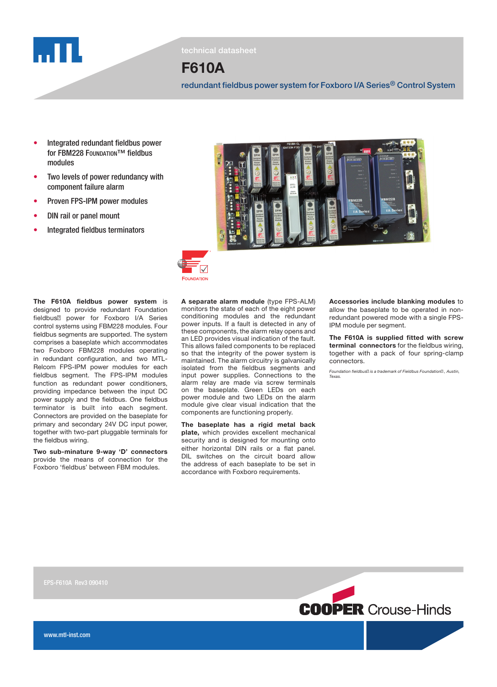

technical datasheet

# F610A

redundant fieldbus power system for Foxboro I/A Series® Control System

- Integrated redundant fieldbus power for FBM228 FOUNDATION™ fieldbus modules
- Two levels of power redundancy with component failure alarm
- Proven FPS-IPM power modules
- **DIN rail or panel mount**
- Integrated fieldbus terminators



Two sub-minature 9-way 'D' connectors provide the means of connection for the Foxboro 'fieldbus' between FBM modules.



A separate alarm module (type FPS-ALM) monitors the state of each of the eight power conditioning modules and the redundant power inputs. If a fault is detected in any of these components, the alarm relay opens and an LED provides visual indication of the fault. This allows failed components to be replaced so that the integrity of the power system is maintained. The alarm circuitry is galvanically isolated from the fieldbus segments and input power supplies. Connections to the alarm relay are made via screw terminals on the baseplate. Green LEDs on each power module and two LEDs on the alarm module give clear visual indication that the components are functioning properly.

The baseplate has a rigid metal back plate, which provides excellent mechanical security and is designed for mounting onto either horizontal DIN rails or a flat panel. DIL switches on the circuit board allow the address of each baseplate to be set in accordance with Foxboro requirements.

Accessories include blanking modules to allow the baseplate to be operated in nonredundant powered mode with a single FPS-IPM module per segment.

The F610A is supplied fitted with screw terminal connectors for the fieldbus wiring, together with a pack of four spring-clamp connectors.

Foundation fieldbus is a trademark of Fieldbus Foundation , Austin, Texas.

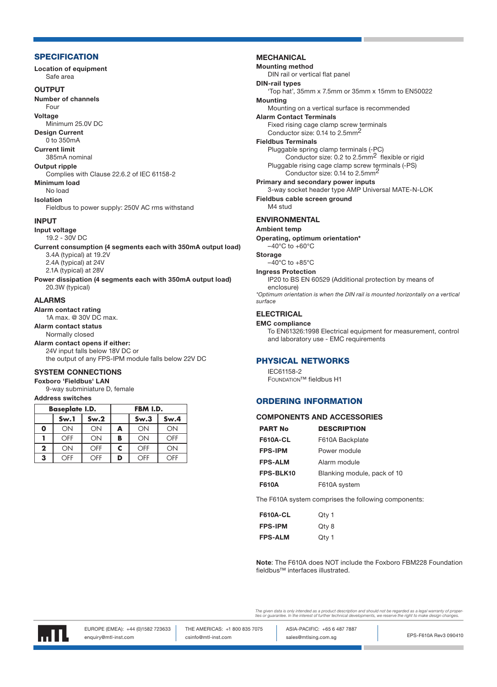#### **SPECIFICATION**

Location of equipment Safe area

#### **OUTPUT**

Number of channels

Four Voltage

Minimum 25.0V DC

Design Current 0 to 350mA

Current limit

#### 385mA nominal

Output ripple

Complies with Clause 22.6.2 of IEC 61158-2 Minimum load

#### No load

Isolation

Fieldbus to power supply: 250V AC rms withstand

# **INPUT**

Input voltage

19.2 - 30V DC

Current consumption (4 segments each with 350mA output load) 3.4A (typical) at 19.2V 2.4A (typical) at 24V 2.1A (typical) at 28V

Power dissipation (4 segments each with 350mA output load) 20.3W (typical)

# ALARMS

Alarm contact rating 1A max. @ 30V DC max.

Alarm contact status

#### Normally closed Alarm contact opens if either:

24V input falls below 18V DC or the output of any FPS-IPM module falls below 22V DC

# SYSTEM CONNECTIONS

# Foxboro 'Fieldbus' LAN

9-way subminiature D, female

## Address switches

| <b>Baseplate I.D.</b> |      |      | FBM I.D. |      |      |
|-----------------------|------|------|----------|------|------|
|                       | Sw.1 | Sw.2 |          | Sw.3 | Sw.4 |
| O                     | ON   | ON   | A        | ON   | ON   |
|                       | OFF  | ON   | B        | ON   | OFF  |
| $\mathbf{2}$          | ON   | OFF  | c        | OFF  | ON   |
| 3                     | ∩FF  | ∩FF  | D        | OFF  | ∩FF  |

# **MECHANICAL**

Mounting method

DIN rail or vertical flat panel DIN-rail types

'Top hat', 35mm x 7.5mm or 35mm x 15mm to EN50022

#### Mounting

Mounting on a vertical surface is recommended

# Alarm Contact Terminals

Fixed rising cage clamp screw terminals Conductor size: 0.14 to 2.5mm2

# Fieldbus Terminals

Pluggable spring clamp terminals (-PC) Conductor size: 0.2 to 2.5mm2 flexible or rigid Pluggable rising cage clamp screw terminals (-PS) Conductor size: 0.14 to 2.5mm2

## Primary and secondary power inputs

3-way socket header type AMP Universal MATE-N-LOK

Fieldbus cable screen ground M4 stud

#### ENVIRONMENTAL

#### Ambient temp

Operating, optimum orientation\*  $-40^{\circ}$ C to  $+60^{\circ}$ C

# Storage

 $-40^{\circ}$ C to  $+85^{\circ}$ C

#### Ingress Protection

IP20 to BS EN 60529 (Additional protection by means of enclosure)

\*Optimum orientation is when the DIN rail is mounted horizontally on a vertical surface

# **ELECTRICAL**

#### EMC compliance

To EN61326:1998 Electrical equipment for measurement, control and laboratory use - EMC requirements

# PHYSICAL NETWORKS

IEC61158-2 Foundation™ fieldbus H1

# ORDERING INFORMATION

#### COMPONENTS AND ACCESSORIES

| <b>PART No</b>  | <b>DESCRIPTION</b>          |
|-----------------|-----------------------------|
| <b>F610A-CL</b> | F610A Backplate             |
| <b>FPS-IPM</b>  | Power module                |
| <b>FPS-ALM</b>  | Alarm module                |
| FPS-BLK10       | Blanking module, pack of 10 |
| <b>F610A</b>    | F610A system                |

The F610A system comprises the following components:

| <b>F610A-CL</b> | Qty 1 |
|-----------------|-------|
| <b>FPS-IPM</b>  | Qty 8 |
| <b>FPS-ALM</b>  | Qty 1 |

Note: The F610A does NOT include the Foxboro FBM228 Foundation fieldbus™ interfaces illustrated.

The given data is only intended as a product description and should not be regarded as a legal warranty of proper<br>ties or guarantee. In the interest of further technical developments, we reserve the right to make design ch